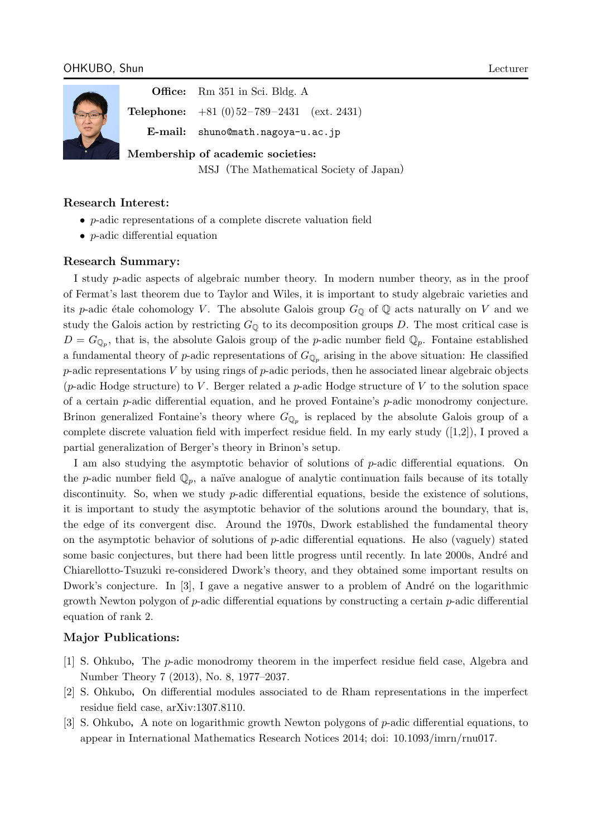

**Office:** Rm 351 in Sci. Bldg. A

**Telephone:** +81 (0) 52 – 789 – 2431 (ext. 2431)

**E-mail:** shuno@math.nagoya-u.ac.jp

**Membership of academic societies:**

MSJ(The Mathematical Society of Japan)

# **Research Interest:**

- *• p*-adic representations of a complete discrete valuation field
- *• p*-adic differential equation

## **Research Summary:**

I study *p*-adic aspects of algebraic number theory. In modern number theory, as in the proof of Fermat's last theorem due to Taylor and Wiles, it is important to study algebraic varieties and its *p*-adic étale cohomology *V*. The absolute Galois group  $G_{\mathbb{Q}}$  of  $\mathbb{Q}$  acts naturally on *V* and we study the Galois action by restricting  $G_{\mathbb{Q}}$  to its decomposition groups *D*. The most critical case is  $D = G_{\mathbb{Q}_p}$ , that is, the absolute Galois group of the *p*-adic number field  $\mathbb{Q}_p$ . Fontaine established a fundamental theory of *p*-adic representations of  $G_{\mathbb{Q}_p}$  arising in the above situation: He classified *p*-adic representations *V* by using rings of *p*-adic periods, then he associated linear algebraic objects (*p*-adic Hodge structure) to *V* . Berger related a *p*-adic Hodge structure of *V* to the solution space of a certain *p*-adic differential equation, and he proved Fontaine's *p*-adic monodromy conjecture. Brinon generalized Fontaine's theory where  $G_{\mathbb{Q}_p}$  is replaced by the absolute Galois group of a complete discrete valuation field with imperfect residue field. In my early study  $([1,2])$ , I proved a partial generalization of Berger's theory in Brinon's setup.

I am also studying the asymptotic behavior of solutions of *p*-adic differential equations. On the *p*-adic number field  $\mathbb{Q}_p$ , a naïve analogue of analytic continuation fails because of its totally discontinuity. So, when we study *p*-adic differential equations, beside the existence of solutions, it is important to study the asymptotic behavior of the solutions around the boundary, that is, the edge of its convergent disc. Around the 1970s, Dwork established the fundamental theory on the asymptotic behavior of solutions of *p*-adic differential equations. He also (vaguely) stated some basic conjectures, but there had been little progress until recently. In late 2000s, André and Chiarellotto-Tsuzuki re-considered Dwork's theory, and they obtained some important results on Dwork's conjecture. In  $[3]$ , I gave a negative answer to a problem of André on the logarithmic growth Newton polygon of *p*-adic differential equations by constructing a certain *p*-adic differential equation of rank 2.

# **Major Publications:**

- [1] S. Ohkubo,The *p*-adic monodromy theorem in the imperfect residue field case, Algebra and Number Theory 7 (2013), No. 8, 1977–2037.
- [2] S. Ohkubo,On differential modules associated to de Rham representations in the imperfect residue field case, arXiv:1307.8110.
- [3] S. Ohkubo,A note on logarithmic growth Newton polygons of *p*-adic differential equations, to appear in International Mathematics Research Notices 2014; doi: 10.1093/imrn/rnu017.